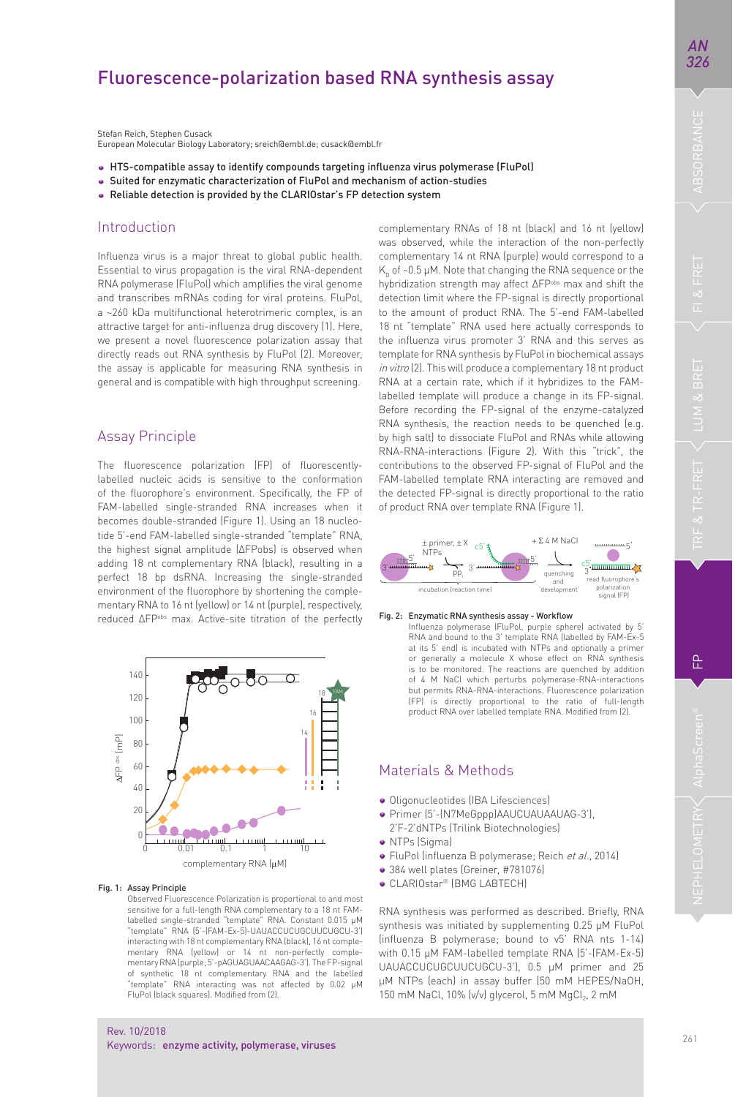# NEPHELOMETRY AlphaScreen® FP TRF & TR-FRET LUM & BRET FI & FRET ABSORBANCE *326*

*AN* 

Stefan Reich, Stephen Cusack European Molecular Biology Laboratory; sreich@embl.de; cusack@embl.fr

- HTS-compatible assay to identify compounds targeting infl uenza virus polymerase (FluPol)
- Suited for enzymatic characterization of FluPol and mechanism of action-studies
- Reliable detection is provided by the CLARIOstar's FP detection system

# Introduction

Influenza virus is a major threat to global public health. Essential to virus propagation is the viral RNA-dependent RNA polymerase (FluPol) which amplifies the viral genome and transcribes mRNAs coding for viral proteins. FluPol, a ~260 kDa multifunctional heterotrimeric complex, is an attractive target for anti-influenza drug discovery [1]. Here, we present a novel fluorescence polarization assay that directly reads out RNA synthesis by FluPol (2). Moreover, the assay is applicable for measuring RNA synthesis in general and is compatible with high throughput screening.

# Assay Principle

The fluorescence polarization (FP) of fluorescentlylabelled nucleic acids is sensitive to the conformation of the fluorophore's environment. Specifically, the FP of FAM-labelled single-stranded RNA increases when it becomes double-stranded (Figure 1). Using an 18 nucleotide 5'-end FAM-labelled single-stranded "template" RNA, the highest signal amplitude (∆FPobs) is observed when adding 18 nt complementary RNA (black), resulting in a perfect 18 bp dsRNA. Increasing the single-stranded environment of the fluorophore by shortening the complementary RNA to 16 nt (yellow) or 14 nt (purple), respectively, reduced  $\triangle$ FP<sup>obs</sup> max. Active-site titration of the perfectly



### Fig. 1: Assay Principle

Observed Fluorescence Polarization is proportional to and most sensitive for a full-length RNA complementary to a 18 nt FAMlabelled single-stranded "template" RNA. Constant 0.015 μM "template" RNA (5'-(FAM-Ex-5)-UAUACCUCUGCUUCUGCU-3') interacting with 18 nt complementary RNA (black), 16 nt complementary RNA (yellow) or 14 nt non-perfectly complementary RNA (purple; 5'-pAGUAGUAACAAGAG-3'). The FP-signal of synthetic 18 nt complementary RNA and the labelled "template" RNA interacting was not affected by 0.02 μM FluPol (black squares). Modified from (2)

- 
- · FluPol (influenza B polymerase; Reich et al., 2014)
- 
- CLARIOstar® (BMG LABTECH)

RNA synthesis was performed as described. Briefly, RNA synthesis was initiated by supplementing 0.25 μM FluPol (influenza B polymerase; bound to v5' RNA nts 1-14) with 0.15 μM FAM-labelled template RNA (5'-(FAM-Ex-5) UAUACCUCUGCUUCUGCU-3'), 0.5 µM primer and 25 μM NTPs (each) in assay buffer (50 mM HEPES/NaOH, 150 mM NaCl, 10% (v/v) glycerol, 5 mM MgCl<sub>2</sub>, 2 mM

hybridization strength may affect ∆FPobs max and shift the detection limit where the FP-signal is directly proportional to the amount of product RNA. The 5'-end FAM-labelled 18 nt "template" RNA used here actually corresponds to the influenza virus promoter 3' RNA and this serves as template for RNA synthesis by FluPol in biochemical assays in vitro (2). This will produce a complementary 18 nt product RNA at a certain rate, which if it hybridizes to the FAMlabelled template will produce a change in its FP-signal. Before recording the FP-signal of the enzyme-catalyzed RNA synthesis, the reaction needs to be quenched (e.g. by high salt) to dissociate FluPol and RNAs while allowing RNA-RNA-interactions (Figure 2). With this "trick", the contributions to the observed FP-signal of FluPol and the FAM-labelled template RNA interacting are removed and the detected FP-signal is directly proportional to the ratio of product RNA over template RNA (Figure 1).

complementary RNAs of 18 nt (black) and 16 nt (yellow) was observed, while the interaction of the non-perfectly complementary 14 nt RNA (purple) would correspond to a  $K<sub>n</sub>$  of ~0.5 µM. Note that changing the RNA sequence or the



Fig. 2: Enzymatic RNA synthesis assay - Workflow

Influenza polymerase (FluPol, purple sphere) activated by 5' RNA and bound to the 3' template RNA (labelled by FAM-Ex-5 at its 5' end) is incubated with NTPs and optionally a primer or generally a molecule X whose effect on RNA synthesis is to be monitored. The reactions are quenched by addition of 4 M NaCl which perturbs polymerase-RNA-interactions but permits RNA-RNA-interactions. Fluorescence polarization (FP) is directly proportional to the ratio of full-length<br>product RNA over labelled template RNA. Modified from (2).

# Materials & Methods

- · Oligonucleotides (IBA Lifesciences)
- Primer (5'-(N7MeGppp)AAUCUAUAAUAG-3'),
- 2'F-2'dNTPs (Trilink Biotechnologies)
- NTPs (Sigma)
- 384 well plates (Greiner, #781076)
	-

욘